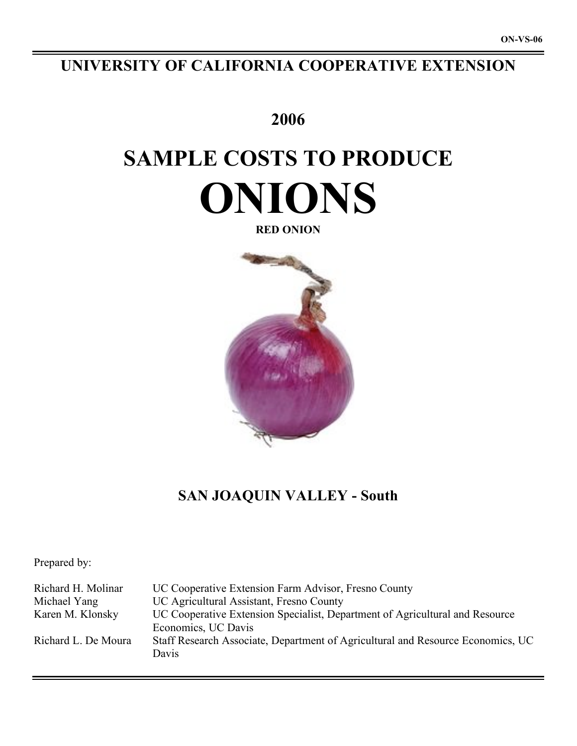# **UNIVERSITY OF CALIFORNIA COOPERATIVE EXTENSION**

# **2006**

# **SAMPLE COSTS TO PRODUCE ONIONS**

**RED ONION**



# **SAN JOAQUIN VALLEY - South**

Prepared by:

Richard H. Molinar UC Cooperative Extension Farm Advisor, Fresno County Michael Yang UC Agricultural Assistant, Fresno County Karen M. Klonsky UC Cooperative Extension Specialist, Department of Agricultural and Resource Economics, UC Davis Richard L. De Moura Staff Research Associate, Department of Agricultural and Resource Economics, UC Davis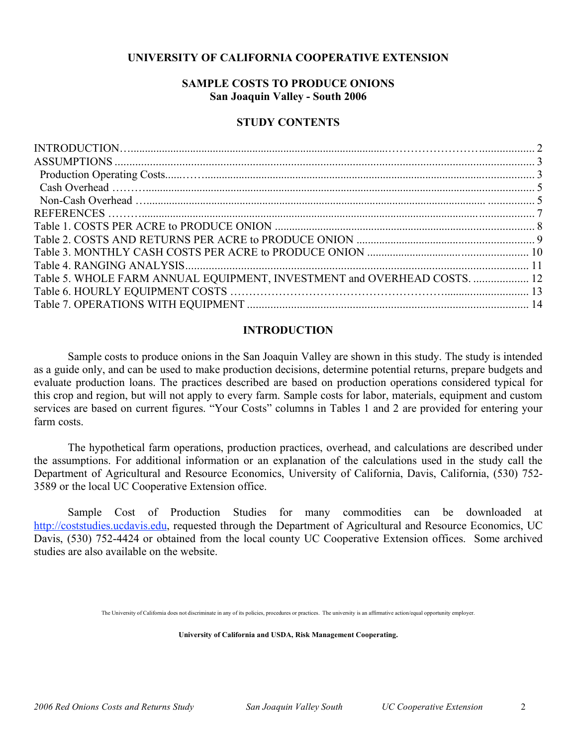# **UNIVERSITY OF CALIFORNIA COOPERATIVE EXTENSION**

# **SAMPLE COSTS TO PRODUCE ONIONS San Joaquin Valley - South 2006**

### **STUDY CONTENTS**

| Table 5. WHOLE FARM ANNUAL EQUIPMENT, INVESTMENT and OVERHEAD COSTS.  12 |  |
|--------------------------------------------------------------------------|--|
|                                                                          |  |
|                                                                          |  |
|                                                                          |  |

#### **INTRODUCTION**

Sample costs to produce onions in the San Joaquin Valley are shown in this study. The study is intended as a guide only, and can be used to make production decisions, determine potential returns, prepare budgets and evaluate production loans. The practices described are based on production operations considered typical for this crop and region, but will not apply to every farm. Sample costs for labor, materials, equipment and custom services are based on current figures. "Your Costs" columns in Tables 1 and 2 are provided for entering your farm costs.

The hypothetical farm operations, production practices, overhead, and calculations are described under the assumptions. For additional information or an explanation of the calculations used in the study call the Department of Agricultural and Resource Economics, University of California, Davis, California, (530) 752- 3589 or the local UC Cooperative Extension office.

Sample Cost of Production Studies for many commodities can be downloaded at http://coststudies.ucdavis.edu, requested through the Department of Agricultural and Resource Economics, UC Davis, (530) 752-4424 or obtained from the local county UC Cooperative Extension offices. Some archived studies are also available on the website.

The University of California does not discriminate in any of its policies, procedures or practices. The university is an affirmative action/equal opportunity employer.

**University of California and USDA, Risk Management Cooperating.**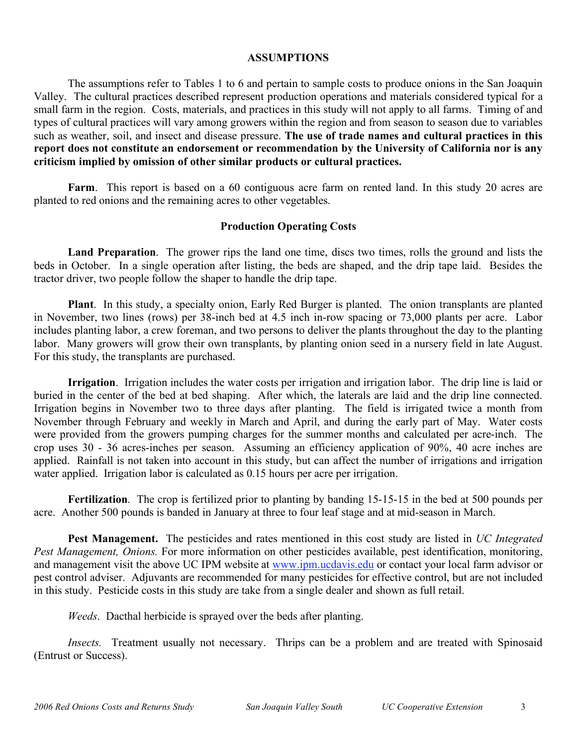## **ASSUMPTIONS**

The assumptions refer to Tables 1 to 6 and pertain to sample costs to produce onions in the San Joaquin Valley. The cultural practices described represent production operations and materials considered typical for a small farm in the region. Costs, materials, and practices in this study will not apply to all farms. Timing of and types of cultural practices will vary among growers within the region and from season to season due to variables such as weather, soil, and insect and disease pressure. **The use of trade names and cultural practices in this report does not constitute an endorsement or recommendation by the University of California nor is any criticism implied by omission of other similar products or cultural practices.**

Farm. This report is based on a 60 contiguous acre farm on rented land. In this study 20 acres are planted to red onions and the remaining acres to other vegetables.

# **Production Operating Costs**

**Land Preparation**. The grower rips the land one time, discs two times, rolls the ground and lists the beds in October. In a single operation after listing, the beds are shaped, and the drip tape laid. Besides the tractor driver, two people follow the shaper to handle the drip tape.

**Plant**. In this study, a specialty onion, Early Red Burger is planted. The onion transplants are planted in November, two lines (rows) per 38-inch bed at 4.5 inch in-row spacing or 73,000 plants per acre. Labor includes planting labor, a crew foreman, and two persons to deliver the plants throughout the day to the planting labor. Many growers will grow their own transplants, by planting onion seed in a nursery field in late August. For this study, the transplants are purchased.

**Irrigation**. Irrigation includes the water costs per irrigation and irrigation labor. The drip line is laid or buried in the center of the bed at bed shaping. After which, the laterals are laid and the drip line connected. Irrigation begins in November two to three days after planting. The field is irrigated twice a month from November through February and weekly in March and April, and during the early part of May. Water costs were provided from the growers pumping charges for the summer months and calculated per acre-inch. The crop uses 30 - 36 acres-inches per season. Assuming an efficiency application of 90%, 40 acre inches are applied. Rainfall is not taken into account in this study, but can affect the number of irrigations and irrigation water applied. Irrigation labor is calculated as 0.15 hours per acre per irrigation.

**Fertilization**. The crop is fertilized prior to planting by banding 15-15-15 in the bed at 500 pounds per acre. Another 500 pounds is banded in January at three to four leaf stage and at mid-season in March.

**Pest Management.** The pesticides and rates mentioned in this cost study are listed in *UC Integrated Pest Management, Onions.* For more information on other pesticides available, pest identification, monitoring, and management visit the above UC IPM website at www.ipm.ucdavis.edu or contact your local farm advisor or pest control adviser. Adjuvants are recommended for many pesticides for effective control, but are not included in this study. Pesticide costs in this study are take from a single dealer and shown as full retail.

*Weeds*. Dacthal herbicide is sprayed over the beds after planting.

*Insects.* Treatment usually not necessary. Thrips can be a problem and are treated with Spinosaid (Entrust or Success).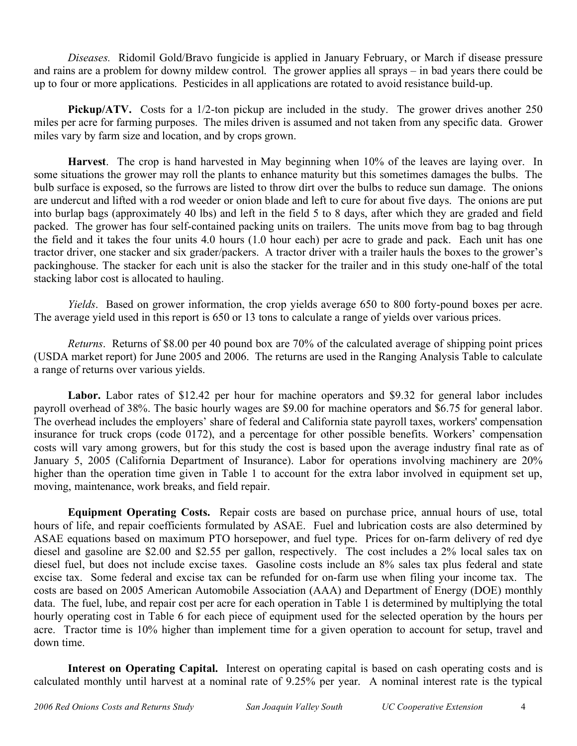*Diseases.* Ridomil Gold/Bravo fungicide is applied in January February, or March if disease pressure and rains are a problem for downy mildew control. The grower applies all sprays – in bad years there could be up to four or more applications. Pesticides in all applications are rotated to avoid resistance build-up.

**Pickup/ATV.** Costs for a 1/2-ton pickup are included in the study. The grower drives another 250 miles per acre for farming purposes. The miles driven is assumed and not taken from any specific data. Grower miles vary by farm size and location, and by crops grown.

**Harvest**. The crop is hand harvested in May beginning when 10% of the leaves are laying over. In some situations the grower may roll the plants to enhance maturity but this sometimes damages the bulbs. The bulb surface is exposed, so the furrows are listed to throw dirt over the bulbs to reduce sun damage. The onions are undercut and lifted with a rod weeder or onion blade and left to cure for about five days. The onions are put into burlap bags (approximately 40 lbs) and left in the field 5 to 8 days, after which they are graded and field packed. The grower has four self-contained packing units on trailers. The units move from bag to bag through the field and it takes the four units 4.0 hours (1.0 hour each) per acre to grade and pack. Each unit has one tractor driver, one stacker and six grader/packers. A tractor driver with a trailer hauls the boxes to the grower's packinghouse. The stacker for each unit is also the stacker for the trailer and in this study one-half of the total stacking labor cost is allocated to hauling.

*Yields*. Based on grower information, the crop yields average 650 to 800 forty-pound boxes per acre. The average yield used in this report is 650 or 13 tons to calculate a range of yields over various prices.

*Returns*. Returns of \$8.00 per 40 pound box are 70% of the calculated average of shipping point prices (USDA market report) for June 2005 and 2006. The returns are used in the Ranging Analysis Table to calculate a range of returns over various yields.

Labor. Labor rates of \$12.42 per hour for machine operators and \$9.32 for general labor includes payroll overhead of 38%. The basic hourly wages are \$9.00 for machine operators and \$6.75 for general labor. The overhead includes the employers' share of federal and California state payroll taxes, workers' compensation insurance for truck crops (code 0172), and a percentage for other possible benefits. Workers' compensation costs will vary among growers, but for this study the cost is based upon the average industry final rate as of January 5, 2005 (California Department of Insurance). Labor for operations involving machinery are 20% higher than the operation time given in Table 1 to account for the extra labor involved in equipment set up, moving, maintenance, work breaks, and field repair.

**Equipment Operating Costs.** Repair costs are based on purchase price, annual hours of use, total hours of life, and repair coefficients formulated by ASAE. Fuel and lubrication costs are also determined by ASAE equations based on maximum PTO horsepower, and fuel type. Prices for on-farm delivery of red dye diesel and gasoline are \$2.00 and \$2.55 per gallon, respectively. The cost includes a 2% local sales tax on diesel fuel, but does not include excise taxes. Gasoline costs include an 8% sales tax plus federal and state excise tax. Some federal and excise tax can be refunded for on-farm use when filing your income tax. The costs are based on 2005 American Automobile Association (AAA) and Department of Energy (DOE) monthly data. The fuel, lube, and repair cost per acre for each operation in Table 1 is determined by multiplying the total hourly operating cost in Table 6 for each piece of equipment used for the selected operation by the hours per acre. Tractor time is 10% higher than implement time for a given operation to account for setup, travel and down time.

**Interest on Operating Capital.** Interest on operating capital is based on cash operating costs and is calculated monthly until harvest at a nominal rate of 9.25% per year. A nominal interest rate is the typical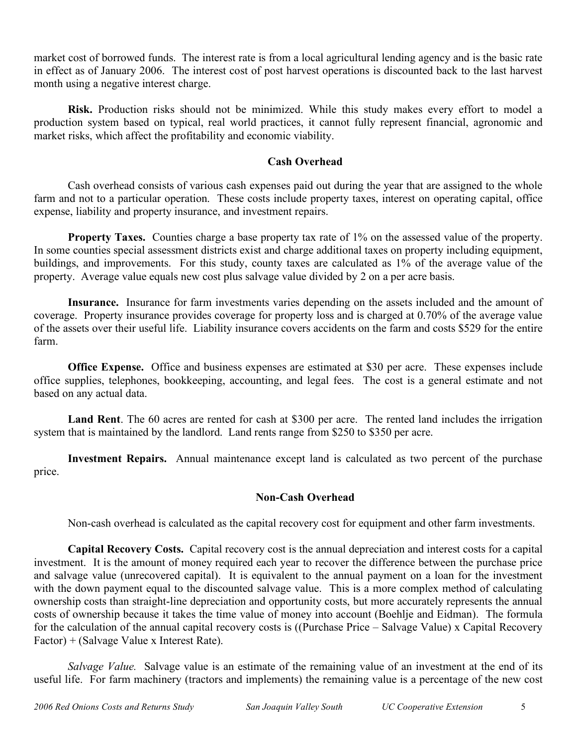market cost of borrowed funds. The interest rate is from a local agricultural lending agency and is the basic rate in effect as of January 2006. The interest cost of post harvest operations is discounted back to the last harvest month using a negative interest charge.

**Risk.** Production risks should not be minimized. While this study makes every effort to model a production system based on typical, real world practices, it cannot fully represent financial, agronomic and market risks, which affect the profitability and economic viability.

# **Cash Overhead**

Cash overhead consists of various cash expenses paid out during the year that are assigned to the whole farm and not to a particular operation. These costs include property taxes, interest on operating capital, office expense, liability and property insurance, and investment repairs.

**Property Taxes.** Counties charge a base property tax rate of 1% on the assessed value of the property. In some counties special assessment districts exist and charge additional taxes on property including equipment, buildings, and improvements. For this study, county taxes are calculated as 1% of the average value of the property. Average value equals new cost plus salvage value divided by 2 on a per acre basis.

**Insurance.** Insurance for farm investments varies depending on the assets included and the amount of coverage. Property insurance provides coverage for property loss and is charged at 0.70% of the average value of the assets over their useful life. Liability insurance covers accidents on the farm and costs \$529 for the entire farm.

**Office Expense.** Office and business expenses are estimated at \$30 per acre. These expenses include office supplies, telephones, bookkeeping, accounting, and legal fees. The cost is a general estimate and not based on any actual data.

**Land Rent**. The 60 acres are rented for cash at \$300 per acre. The rented land includes the irrigation system that is maintained by the landlord. Land rents range from \$250 to \$350 per acre.

**Investment Repairs.** Annual maintenance except land is calculated as two percent of the purchase price.

# **Non-Cash Overhead**

Non-cash overhead is calculated as the capital recovery cost for equipment and other farm investments.

**Capital Recovery Costs.** Capital recovery cost is the annual depreciation and interest costs for a capital investment. It is the amount of money required each year to recover the difference between the purchase price and salvage value (unrecovered capital). It is equivalent to the annual payment on a loan for the investment with the down payment equal to the discounted salvage value. This is a more complex method of calculating ownership costs than straight-line depreciation and opportunity costs, but more accurately represents the annual costs of ownership because it takes the time value of money into account (Boehlje and Eidman). The formula for the calculation of the annual capital recovery costs is ((Purchase Price – Salvage Value) x Capital Recovery Factor) + (Salvage Value x Interest Rate).

*Salvage Value.* Salvage value is an estimate of the remaining value of an investment at the end of its useful life. For farm machinery (tractors and implements) the remaining value is a percentage of the new cost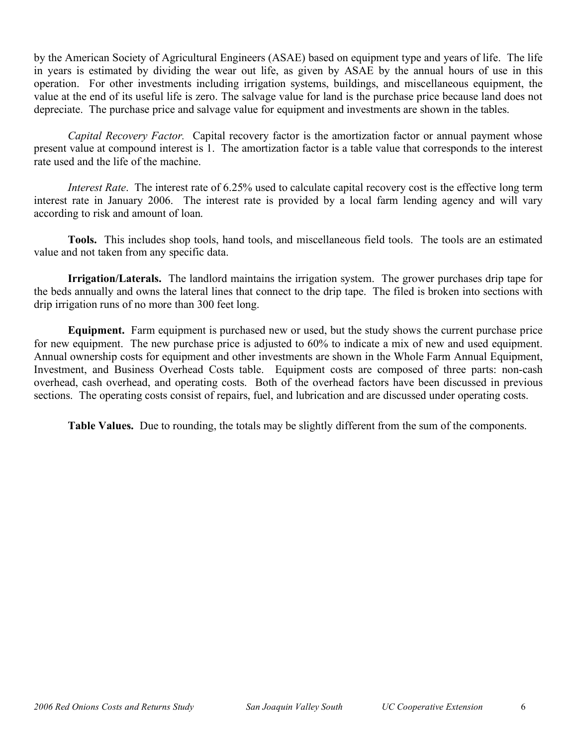by the American Society of Agricultural Engineers (ASAE) based on equipment type and years of life. The life in years is estimated by dividing the wear out life, as given by ASAE by the annual hours of use in this operation. For other investments including irrigation systems, buildings, and miscellaneous equipment, the value at the end of its useful life is zero. The salvage value for land is the purchase price because land does not depreciate. The purchase price and salvage value for equipment and investments are shown in the tables.

*Capital Recovery Factor.* Capital recovery factor is the amortization factor or annual payment whose present value at compound interest is 1. The amortization factor is a table value that corresponds to the interest rate used and the life of the machine.

*Interest Rate*. The interest rate of 6.25% used to calculate capital recovery cost is the effective long term interest rate in January 2006. The interest rate is provided by a local farm lending agency and will vary according to risk and amount of loan.

**Tools.** This includes shop tools, hand tools, and miscellaneous field tools. The tools are an estimated value and not taken from any specific data.

**Irrigation/Laterals.** The landlord maintains the irrigation system. The grower purchases drip tape for the beds annually and owns the lateral lines that connect to the drip tape. The filed is broken into sections with drip irrigation runs of no more than 300 feet long.

**Equipment.** Farm equipment is purchased new or used, but the study shows the current purchase price for new equipment. The new purchase price is adjusted to 60% to indicate a mix of new and used equipment. Annual ownership costs for equipment and other investments are shown in the Whole Farm Annual Equipment, Investment, and Business Overhead Costs table. Equipment costs are composed of three parts: non-cash overhead, cash overhead, and operating costs. Both of the overhead factors have been discussed in previous sections. The operating costs consist of repairs, fuel, and lubrication and are discussed under operating costs.

**Table Values.** Due to rounding, the totals may be slightly different from the sum of the components.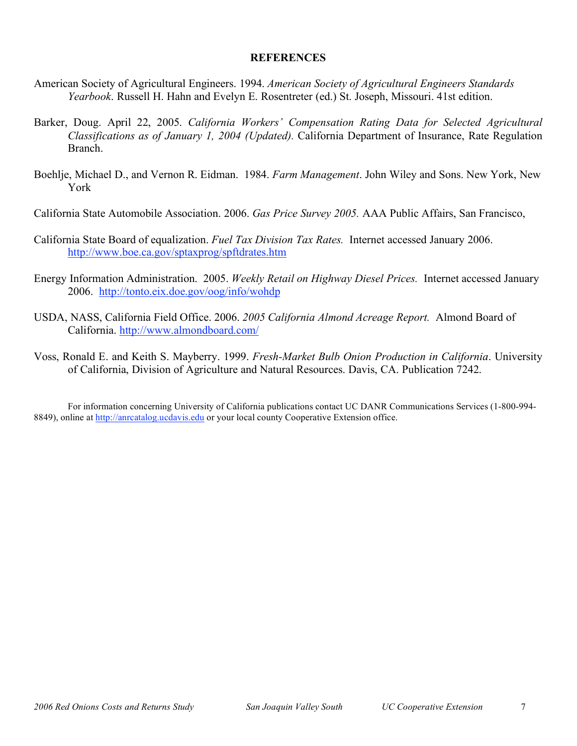## **REFERENCES**

- American Society of Agricultural Engineers. 1994. *American Society of Agricultural Engineers Standards Yearbook*. Russell H. Hahn and Evelyn E. Rosentreter (ed.) St. Joseph, Missouri. 41st edition.
- Barker, Doug. April 22, 2005. *California Workers' Compensation Rating Data for Selected Agricultural Classifications as of January 1, 2004 (Updated).* California Department of Insurance, Rate Regulation Branch.
- Boehlje, Michael D., and Vernon R. Eidman. 1984. *Farm Management*. John Wiley and Sons. New York, New York
- California State Automobile Association. 2006. *Gas Price Survey 2005.* AAA Public Affairs, San Francisco,
- California State Board of equalization. *Fuel Tax Division Tax Rates.* Internet accessed January 2006. http://www.boe.ca.gov/sptaxprog/spftdrates.htm
- Energy Information Administration. 2005. *Weekly Retail on Highway Diesel Prices.* Internet accessed January 2006. http://tonto.eix.doe.gov/oog/info/wohdp
- USDA, NASS, California Field Office. 2006. *2005 California Almond Acreage Report.* Almond Board of California. http://www.almondboard.com/
- Voss, Ronald E. and Keith S. Mayberry. 1999. *Fresh-Market Bulb Onion Production in California*. University of California, Division of Agriculture and Natural Resources. Davis, CA. Publication 7242.

For information concerning University of California publications contact UC DANR Communications Services (1-800-994- 8849), online at http://anrcatalog.ucdavis.edu or your local county Cooperative Extension office.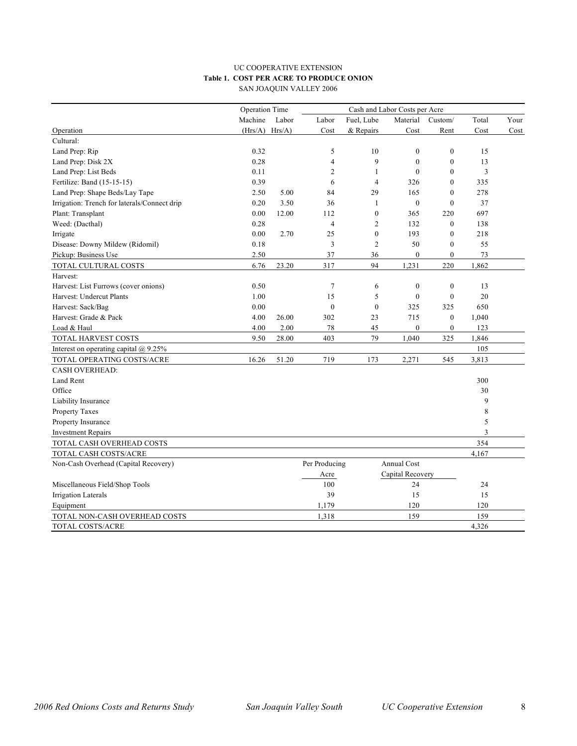#### UC COOPERATIVE EXTENSION **Table 1. COST PER ACRE TO PRODUCE ONION** SAN JOAQUIN VALLEY 2006

|                                              | Operation Time |        | Cash and Labor Costs per Acre |                  |                  |                  |       |      |
|----------------------------------------------|----------------|--------|-------------------------------|------------------|------------------|------------------|-------|------|
|                                              | Machine        | Labor  | Labor                         | Fuel, Lube       | Material         | Custom/          | Total | Your |
| Operation                                    | (Hrs/A)        | Hrs/A) | Cost                          | & Repairs        | Cost             | Rent             | Cost  | Cost |
| Cultural:                                    |                |        |                               |                  |                  |                  |       |      |
| Land Prep: Rip                               | 0.32           |        | 5                             | 10               | $\mathbf{0}$     | $\boldsymbol{0}$ | 15    |      |
| Land Prep: Disk 2X                           | 0.28           |        | 4                             | 9                | $\mathbf{0}$     | $\overline{0}$   | 13    |      |
| Land Prep: List Beds                         | 0.11           |        | $\overline{2}$                | $\mathbf{1}$     | $\theta$         | $\theta$         | 3     |      |
| Fertilize: Band (15-15-15)                   | 0.39           |        | 6                             | $\overline{4}$   | 326              | $\mathbf{0}$     | 335   |      |
| Land Prep: Shape Beds/Lay Tape               | 2.50           | 5.00   | 84                            | 29               | 165              | $\theta$         | 278   |      |
| Irrigation: Trench for laterals/Connect drip | 0.20           | 3.50   | 36                            | $\mathbf{1}$     | $\boldsymbol{0}$ | $\mathbf{0}$     | 37    |      |
| Plant: Transplant                            | 0.00           | 12.00  | 112                           | $\theta$         | 365              | 220              | 697   |      |
| Weed: (Dacthal)                              | 0.28           |        | $\overline{4}$                | $\overline{2}$   | 132              | $\theta$         | 138   |      |
| Irrigate                                     | 0.00           | 2.70   | 25                            | $\boldsymbol{0}$ | 193              | $\mathbf{0}$     | 218   |      |
| Disease: Downy Mildew (Ridomil)              | 0.18           |        | 3                             | $\overline{2}$   | 50               | $\mathbf{0}$     | 55    |      |
| Pickup: Business Use                         | 2.50           |        | 37                            | 36               | $\boldsymbol{0}$ | $\boldsymbol{0}$ | 73    |      |
| TOTAL CULTURAL COSTS                         | 6.76           | 23.20  | 317                           | 94               | 1,231            | 220              | 1,862 |      |
| Harvest:                                     |                |        |                               |                  |                  |                  |       |      |
| Harvest: List Furrows (cover onions)         | 0.50           |        | $\tau$                        | 6                | $\mathbf{0}$     | $\boldsymbol{0}$ | 13    |      |
| Harvest: Undercut Plants                     | 1.00           |        | 15                            | 5                | $\mathbf{0}$     | $\mathbf{0}$     | 20    |      |
| Harvest: Sack/Bag                            | 0.00           |        | $\boldsymbol{0}$              | $\boldsymbol{0}$ | 325              | 325              | 650   |      |
| Harvest: Grade & Pack                        | 4.00           | 26.00  | 302                           | 23               | 715              | $\boldsymbol{0}$ | 1,040 |      |
| Load & Haul                                  | 4.00           | 2.00   | 78                            | 45               | $\boldsymbol{0}$ | $\boldsymbol{0}$ | 123   |      |
| TOTAL HARVEST COSTS                          | 9.50           | 28.00  | 403                           | 79               | 1,040            | 325              | 1,846 |      |
| Interest on operating capital $(a)$ 9.25%    |                |        |                               |                  |                  |                  | 105   |      |
| TOTAL OPERATING COSTS/ACRE                   | 16.26          | 51.20  | 719                           | 173              | 2,271            | 545              | 3,813 |      |
| <b>CASH OVERHEAD:</b>                        |                |        |                               |                  |                  |                  |       |      |
| Land Rent                                    |                |        |                               |                  |                  |                  | 300   |      |
| Office                                       |                |        |                               |                  |                  |                  | 30    |      |
| Liability Insurance                          |                |        |                               |                  |                  |                  | 9     |      |
| Property Taxes                               |                |        |                               |                  |                  |                  | 8     |      |
| Property Insurance                           |                |        |                               |                  |                  |                  | 5     |      |
| <b>Investment Repairs</b>                    |                |        |                               |                  |                  |                  | 3     |      |
| TOTAL CASH OVERHEAD COSTS                    |                |        |                               |                  |                  |                  | 354   |      |
| TOTAL CASH COSTS/ACRE                        |                |        |                               |                  |                  |                  | 4,167 |      |
| Non-Cash Overhead (Capital Recovery)         |                |        | Per Producing                 |                  | Annual Cost      |                  |       |      |
|                                              |                |        | Acre                          |                  | Capital Recovery |                  |       |      |
| Miscellaneous Field/Shop Tools               |                |        | 100                           |                  | 24               |                  | 24    |      |
| <b>Irrigation Laterals</b>                   |                |        | 39                            |                  | 15               |                  | 15    |      |
| Equipment                                    |                |        | 1,179                         |                  | 120              |                  | 120   |      |
| TOTAL NON-CASH OVERHEAD COSTS                |                |        | 1,318                         |                  | 159              |                  | 159   |      |
| <b>TOTAL COSTS/ACRE</b>                      |                |        |                               |                  |                  |                  | 4,326 |      |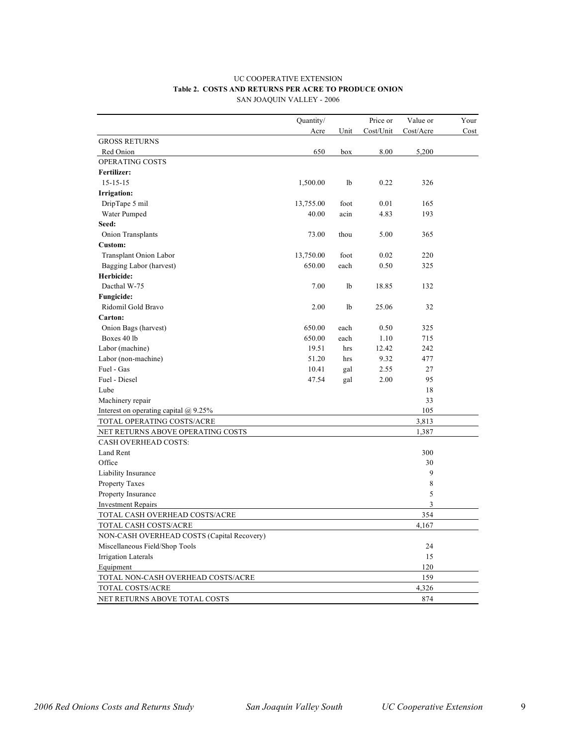#### UC COOPERATIVE EXTENSION **Table 2. COSTS AND RETURNS PER ACRE TO PRODUCE ONION** SAN JOAQUIN VALLEY - 2006

|                                            | Quantity/ |           | Price or  | Value or       | Your |
|--------------------------------------------|-----------|-----------|-----------|----------------|------|
|                                            | Acre      | Unit      | Cost/Unit | Cost/Acre      | Cost |
| <b>GROSS RETURNS</b>                       |           |           |           |                |      |
| Red Onion                                  | 650       | box       | 8.00      | 5,200          |      |
| OPERATING COSTS                            |           |           |           |                |      |
| Fertilizer:                                |           |           |           |                |      |
| $15 - 15 - 15$                             | 1,500.00  | <b>lb</b> | 0.22      | 326            |      |
| <b>Irrigation:</b>                         |           |           |           |                |      |
| DripTape 5 mil                             | 13,755.00 | foot      | 0.01      | 165            |      |
| Water Pumped                               | 40.00     | acin      | 4.83      | 193            |      |
| Seed:                                      |           |           |           |                |      |
| Onion Transplants                          | 73.00     | thou      | 5.00      | 365            |      |
| Custom:                                    |           |           |           |                |      |
| Transplant Onion Labor                     | 13,750.00 | foot      | 0.02      | 220            |      |
| Bagging Labor (harvest)                    | 650.00    | each      | 0.50      | 325            |      |
| Herbicide:                                 |           |           |           |                |      |
| Dacthal W-75                               | 7.00      | <b>lb</b> | 18.85     | 132            |      |
| Fungicide:                                 |           |           |           |                |      |
| Ridomil Gold Bravo                         | 2.00      | lb        | 25.06     | 32             |      |
| Carton:                                    |           |           |           |                |      |
| Onion Bags (harvest)                       | 650.00    | each      | 0.50      | 325            |      |
| Boxes 40 lb                                | 650.00    | each      | 1.10      | 715            |      |
| Labor (machine)                            | 19.51     | hrs       | 12.42     | 242            |      |
| Labor (non-machine)                        | 51.20     | hrs       | 9.32      | 477            |      |
| Fuel - Gas                                 | 10.41     | gal       | 2.55      | 27             |      |
| Fuel - Diesel                              | 47.54     | gal       | 2.00      | 95             |      |
| Lube                                       |           |           |           | 18             |      |
| Machinery repair                           |           |           |           | 33             |      |
| Interest on operating capital $@9.25\%$    |           |           |           | 105            |      |
| TOTAL OPERATING COSTS/ACRE                 |           |           |           | 3,813          |      |
| NET RETURNS ABOVE OPERATING COSTS          |           |           |           | 1,387          |      |
| CASH OVERHEAD COSTS:                       |           |           |           |                |      |
| Land Rent                                  |           |           |           | 300            |      |
| Office                                     |           |           |           | 30             |      |
| Liability Insurance                        |           |           |           | 9              |      |
| Property Taxes                             |           |           |           | 8              |      |
| Property Insurance                         |           |           |           | 5              |      |
| <b>Investment Repairs</b>                  |           |           |           | $\overline{3}$ |      |
| TOTAL CASH OVERHEAD COSTS/ACRE             |           |           |           | 354            |      |
| TOTAL CASH COSTS/ACRE                      |           |           |           | 4,167          |      |
| NON-CASH OVERHEAD COSTS (Capital Recovery) |           |           |           |                |      |
| Miscellaneous Field/Shop Tools             |           |           |           | 24             |      |
| <b>Irrigation Laterals</b>                 |           |           |           | 15             |      |
| Equipment                                  |           |           |           | 120            |      |
| TOTAL NON-CASH OVERHEAD COSTS/ACRE         |           |           |           | 159            |      |
| TOTAL COSTS/ACRE                           |           |           |           | 4,326          |      |
| NET RETURNS ABOVE TOTAL COSTS              |           |           |           | 874            |      |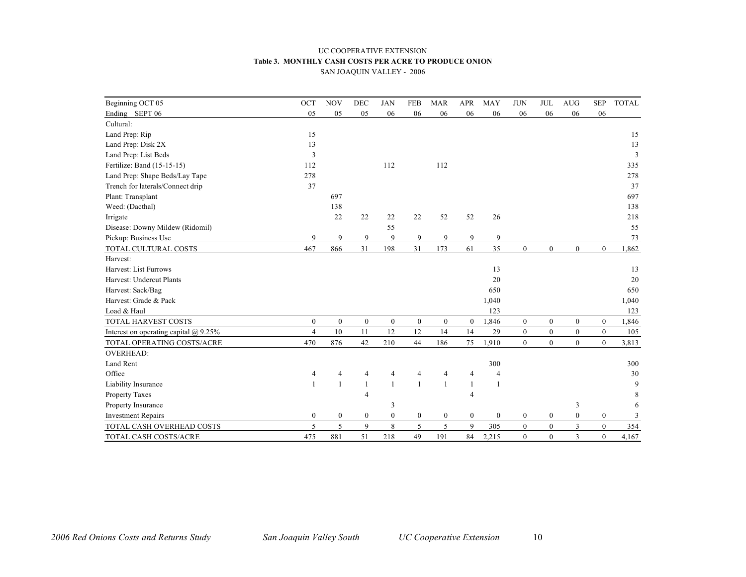#### UC COOPERATIVE EXTENSION **Table 3. MONTHLY CASH COSTS PER ACRE TO PRODUCE ONION** SAN JOAQUIN VALLEY - 2006

| Beginning OCT 05                          | OCT            | <b>NOV</b>       | <b>DEC</b>   | <b>JAN</b>       | <b>FEB</b>       | <b>MAR</b>       | <b>APR</b>     | MAY            | <b>JUN</b>       | <b>JUL</b>       | <b>AUG</b>     | <b>SEP</b>   | <b>TOTAL</b> |
|-------------------------------------------|----------------|------------------|--------------|------------------|------------------|------------------|----------------|----------------|------------------|------------------|----------------|--------------|--------------|
| Ending SEPT 06                            | 05             | 05               | 05           | 06               | 06               | 06               | 06             | 06             | 06               | 06               | 06             | 06           |              |
| Cultural:                                 |                |                  |              |                  |                  |                  |                |                |                  |                  |                |              |              |
| Land Prep: Rip                            | 15             |                  |              |                  |                  |                  |                |                |                  |                  |                |              | 15           |
| Land Prep: Disk 2X                        | 13             |                  |              |                  |                  |                  |                |                |                  |                  |                |              | 13           |
| Land Prep: List Beds                      | 3              |                  |              |                  |                  |                  |                |                |                  |                  |                |              | 3            |
| Fertilize: Band (15-15-15)                | 112            |                  |              | 112              |                  | 112              |                |                |                  |                  |                |              | 335          |
| Land Prep: Shape Beds/Lay Tape            | 278            |                  |              |                  |                  |                  |                |                |                  |                  |                |              | 278          |
| Trench for laterals/Connect drip          | 37             |                  |              |                  |                  |                  |                |                |                  |                  |                |              | 37           |
| Plant: Transplant                         |                | 697              |              |                  |                  |                  |                |                |                  |                  |                |              | 697          |
| Weed: (Dacthal)                           |                | 138              |              |                  |                  |                  |                |                |                  |                  |                |              | 138          |
| Irrigate                                  |                | 22               | 22           | 22               | 22               | 52               | 52             | 26             |                  |                  |                |              | 218          |
| Disease: Downy Mildew (Ridomil)           |                |                  |              | 55               |                  |                  |                |                |                  |                  |                |              | 55           |
| Pickup: Business Use                      | 9              | 9                | 9            | 9                | 9                | 9                | 9              | 9              |                  |                  |                |              | 73           |
| TOTAL CULTURAL COSTS                      | 467            | 866              | 31           | 198              | 31               | 173              | 61             | 35             | $\mathbf{0}$     | $\overline{0}$   | $\mathbf{0}$   | $\mathbf{0}$ | 1,862        |
| Harvest:                                  |                |                  |              |                  |                  |                  |                |                |                  |                  |                |              |              |
| Harvest: List Furrows                     |                |                  |              |                  |                  |                  |                | 13             |                  |                  |                |              | 13           |
| Harvest: Undercut Plants                  |                |                  |              |                  |                  |                  |                | 20             |                  |                  |                |              | 20           |
| Harvest: Sack/Bag                         |                |                  |              |                  |                  |                  |                | 650            |                  |                  |                |              | 650          |
| Harvest: Grade & Pack                     |                |                  |              |                  |                  |                  |                | 1,040          |                  |                  |                |              | 1,040        |
| Load & Haul                               |                |                  |              |                  |                  |                  |                | 123            |                  |                  |                |              | 123          |
| TOTAL HARVEST COSTS                       | $\overline{0}$ | $\overline{0}$   | $\mathbf{0}$ | $\boldsymbol{0}$ | $\overline{0}$   | $\mathbf{0}$     | $\overline{0}$ | 1,846          | $\mathbf{0}$     | $\boldsymbol{0}$ | $\mathbf{0}$   | $\mathbf{0}$ | 1,846        |
| Interest on operating capital $(a)$ 9.25% | $\overline{4}$ | 10               | 11           | 12               | 12               | 14               | 14             | 29             | $\boldsymbol{0}$ | $\overline{0}$   | $\mathbf{0}$   | $\mathbf{0}$ | 105          |
| TOTAL OPERATING COSTS/ACRE                | 470            | 876              | 42           | 210              | 44               | 186              | 75             | 1,910          | $\mathbf{0}$     | $\boldsymbol{0}$ | $\mathbf{0}$   | $\mathbf{0}$ | 3,813        |
| <b>OVERHEAD:</b>                          |                |                  |              |                  |                  |                  |                |                |                  |                  |                |              |              |
| Land Rent                                 |                |                  |              |                  |                  |                  |                | 300            |                  |                  |                |              | 300          |
| Office                                    | 4              | 4                | 4            | 4                | 4                | 4                | 4              | $\overline{4}$ |                  |                  |                |              | 30           |
| Liability Insurance                       | $\mathbf{1}$   |                  | $\mathbf{1}$ | $\mathbf{1}$     | $\mathbf{1}$     | $\mathbf{1}$     | 1              | $\mathbf{1}$   |                  |                  |                |              | 9            |
| Property Taxes                            |                |                  | 4            |                  |                  |                  | 4              |                |                  |                  |                |              | 8            |
| Property Insurance                        |                |                  |              | 3                |                  |                  |                |                |                  |                  | 3              |              | 6            |
| <b>Investment Repairs</b>                 | $\mathbf{0}$   | $\boldsymbol{0}$ | $\mathbf{0}$ | $\boldsymbol{0}$ | $\boldsymbol{0}$ | $\boldsymbol{0}$ | $\mathbf{0}$   | $\mathbf{0}$   | $\boldsymbol{0}$ | $\mathbf{0}$     | $\mathbf{0}$   | $\mathbf{0}$ | 3            |
| TOTAL CASH OVERHEAD COSTS                 | 5              | 5                | 9            | $\,$ 8 $\,$      | 5                | 5                | 9              | 305            | $\boldsymbol{0}$ | $\boldsymbol{0}$ | 3              | $\mathbf{0}$ | 354          |
| TOTAL CASH COSTS/ACRE                     | 475            | 881              | 51           | 218              | 49               | 191              | 84             | 2,215          | $\mathbf{0}$     | $\overline{0}$   | $\mathfrak{Z}$ | $\mathbf{0}$ | 4,167        |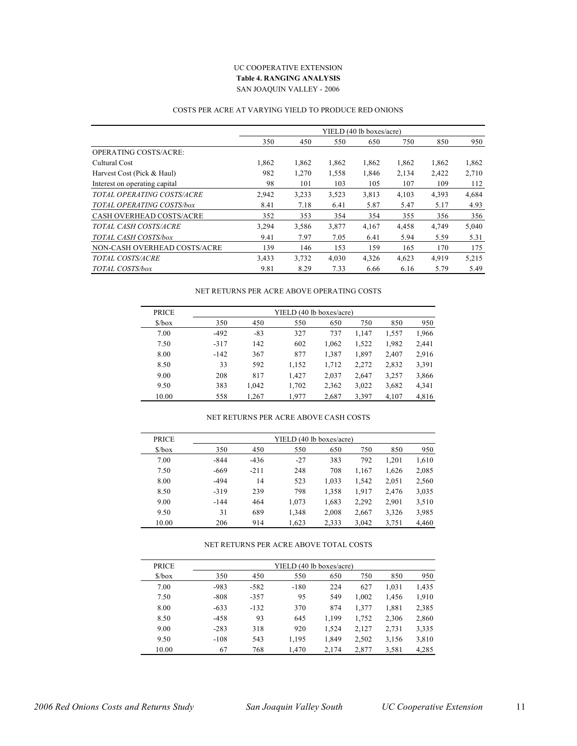#### UC COOPERATIVE EXTENSION **Table 4. RANGING ANALYSIS** SAN JOAQUIN VALLEY - 2006

#### COSTS PER ACRE AT VARYING YIELD TO PRODUCE RED ONIONS

|                               |       |       |       | YIELD (40 lb boxes/acre) |       |       |       |
|-------------------------------|-------|-------|-------|--------------------------|-------|-------|-------|
|                               | 350   | 450   | 550   | 650                      | 750   | 850   | 950   |
| <b>OPERATING COSTS/ACRE:</b>  |       |       |       |                          |       |       |       |
| Cultural Cost                 | 1,862 | 1,862 | 1,862 | 1,862                    | 1,862 | 1,862 | 1,862 |
| Harvest Cost (Pick & Haul)    | 982   | 1,270 | 1,558 | 1,846                    | 2,134 | 2,422 | 2,710 |
| Interest on operating capital | 98    | 101   | 103   | 105                      | 107   | 109   | 112   |
| TOTAL OPERATING COSTS/ACRE    | 2,942 | 3,233 | 3,523 | 3,813                    | 4,103 | 4,393 | 4,684 |
| TOTAL OPERATING COSTS/box     | 8.41  | 7.18  | 6.41  | 5.87                     | 5.47  | 5.17  | 4.93  |
| CASH OVERHEAD COSTS/ACRE      | 352   | 353   | 354   | 354                      | 355   | 356   | 356   |
| TOTAL CASH COSTS/ACRE         | 3,294 | 3,586 | 3,877 | 4,167                    | 4,458 | 4,749 | 5,040 |
| TOTAL CASH COSTS/box          | 9.41  | 7.97  | 7.05  | 6.41                     | 5.94  | 5.59  | 5.31  |
| NON-CASH OVERHEAD COSTS/ACRE  | 139   | 146   | 153   | 159                      | 165   | 170   | 175   |
| TOTAL COSTS/ACRE              | 3,433 | 3,732 | 4,030 | 4,326                    | 4,623 | 4,919 | 5,215 |
| TOTAL COSTS/box               | 9.81  | 8.29  | 7.33  | 6.66                     | 6.16  | 5.79  | 5.49  |

#### NET RETURNS PER ACRE ABOVE OPERATING COSTS

| <b>PRICE</b>                  | YIELD (40 lb boxes/acre) |       |       |       |       |       |       |  |  |  |
|-------------------------------|--------------------------|-------|-------|-------|-------|-------|-------|--|--|--|
| $\frac{\text{S}}{\text{box}}$ | 350                      | 450   | 550   | 650   | 750   | 850   | 950   |  |  |  |
| 7.00                          | $-492$                   | $-83$ | 327   | 737   | 1.147 | 1,557 | 1,966 |  |  |  |
| 7.50                          | $-317$                   | 142   | 602   | 1,062 | 1,522 | 1,982 | 2.441 |  |  |  |
| 8.00                          | $-142$                   | 367   | 877   | 1,387 | 1,897 | 2.407 | 2.916 |  |  |  |
| 8.50                          | 33                       | 592   | 1,152 | 1,712 | 2,272 | 2,832 | 3,391 |  |  |  |
| 9.00                          | 208                      | 817   | 1.427 | 2,037 | 2,647 | 3,257 | 3,866 |  |  |  |
| 9.50                          | 383                      | 1.042 | 1,702 | 2,362 | 3,022 | 3,682 | 4,341 |  |  |  |
| 10.00                         | 558                      | 1.267 | 1.977 | 2,687 | 3,397 | 4,107 | 4,816 |  |  |  |

#### NET RETURNS PER ACRE ABOVE CASH COSTS

| <b>PRICE</b>                  | YIELD (40 lb boxes/acre) |        |       |       |       |       |       |  |  |  |
|-------------------------------|--------------------------|--------|-------|-------|-------|-------|-------|--|--|--|
| $\frac{\text{S}}{\text{box}}$ | 350                      | 450    | 550   | 650   | 750   | 850   | 950   |  |  |  |
| 7.00                          | $-844$                   | $-436$ | $-27$ | 383   | 792   | 1,201 | 1,610 |  |  |  |
| 7.50                          | $-669$                   | $-211$ | 248   | 708   | 1,167 | 1,626 | 2,085 |  |  |  |
| 8.00                          | $-494$                   | 14     | 523   | 1,033 | 1,542 | 2,051 | 2,560 |  |  |  |
| 8.50                          | $-319$                   | 239    | 798   | 1,358 | 1.917 | 2.476 | 3,035 |  |  |  |
| 9.00                          | $-144$                   | 464    | 1,073 | 1,683 | 2,292 | 2,901 | 3,510 |  |  |  |
| 9.50                          | 31                       | 689    | 1,348 | 2,008 | 2,667 | 3,326 | 3,985 |  |  |  |
| 10.00                         | 206                      | 914    | 1,623 | 2,333 | 3,042 | 3,751 | 4,460 |  |  |  |

#### NET RETURNS PER ACRE ABOVE TOTAL COSTS

| <b>PRICE</b>                  |        |        | YIELD (40 lb boxes/acre) |       |       |       |       |
|-------------------------------|--------|--------|--------------------------|-------|-------|-------|-------|
| $\frac{\text{S}}{\text{box}}$ | 350    | 450    | 550                      | 650   | 750   | 850   | 950   |
| 7.00                          | $-983$ | $-582$ | $-180$                   | 224   | 627   | 1,031 | 1,435 |
| 7.50                          | $-808$ | $-357$ | 95                       | 549   | 1,002 | 1,456 | 1,910 |
| 8.00                          | $-633$ | $-132$ | 370                      | 874   | 1,377 | 1,881 | 2,385 |
| 8.50                          | $-458$ | 93     | 645                      | 1,199 | 1,752 | 2,306 | 2,860 |
| 9.00                          | $-283$ | 318    | 920                      | 1,524 | 2,127 | 2,731 | 3,335 |
| 9.50                          | $-108$ | 543    | 1,195                    | 1,849 | 2,502 | 3,156 | 3,810 |
| 10.00                         | 67     | 768    | 1,470                    | 2,174 | 2,877 | 3,581 | 4,285 |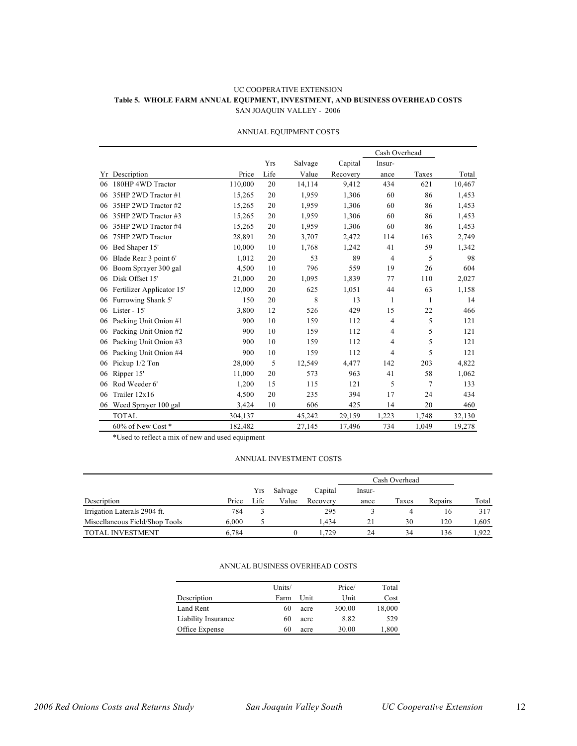#### UC COOPERATIVE EXTENSION **Table 5. WHOLE FARM ANNUAL EQUPMENT, INVESTMENT, AND BUSINESS OVERHEAD COSTS** SAN JOAQUIN VALLEY - 2006

|    |                           |         |      |         |          | Cash Overhead  |       |        |
|----|---------------------------|---------|------|---------|----------|----------------|-------|--------|
|    |                           |         | Yrs  | Salvage | Capital  | Insur-         |       |        |
| Yr | Description               | Price   | Life | Value   | Recovery | ance           | Taxes | Total  |
| 06 | 180HP 4WD Tractor         | 110,000 | 20   | 14,114  | 9,412    | 434            | 621   | 10,467 |
| 06 | 35HP 2WD Tractor #1       | 15,265  | 20   | 1,959   | 1,306    | 60             | 86    | 1,453  |
| 06 | 35HP 2WD Tractor #2       | 15,265  | 20   | 1,959   | 1,306    | 60             | 86    | 1,453  |
| 06 | 35HP 2WD Tractor #3       | 15,265  | 20   | 1,959   | 1,306    | 60             | 86    | 1,453  |
| 06 | 35HP 2WD Tractor #4       | 15,265  | 20   | 1,959   | 1,306    | 60             | 86    | 1,453  |
| 06 | 75HP 2WD Tractor          | 28,891  | 20   | 3,707   | 2,472    | 114            | 163   | 2,749  |
| 06 | Bed Shaper 15'            | 10,000  | 10   | 1,768   | 1,242    | 41             | 59    | 1,342  |
| 06 | Blade Rear 3 point 6'     | 1,012   | 20   | 53      | 89       | $\overline{4}$ | 5     | 98     |
| 06 | Boom Sprayer 300 gal      | 4,500   | 10   | 796     | 559      | 19             | 26    | 604    |
| 06 | Disk Offset 15'           | 21,000  | 20   | 1,095   | 1,839    | 77             | 110   | 2,027  |
| 06 | Fertilizer Applicator 15' | 12,000  | 20   | 625     | 1,051    | 44             | 63    | 1,158  |
| 06 | Furrowing Shank 5'        | 150     | 20   | 8       | 13       | 1              | 1     | 14     |
| 06 | Lister - $15'$            | 3,800   | 12   | 526     | 429      | 15             | 22    | 466    |
| 06 | Packing Unit Onion #1     | 900     | 10   | 159     | 112      | 4              | 5     | 121    |
| 06 | Packing Unit Onion #2     | 900     | 10   | 159     | 112      | 4              | 5     | 121    |
| 06 | Packing Unit Onion #3     | 900     | 10   | 159     | 112      | 4              | 5     | 121    |
| 06 | Packing Unit Onion #4     | 900     | 10   | 159     | 112      | 4              | 5     | 121    |
| 06 | Pickup 1/2 Ton            | 28,000  | 5    | 12,549  | 4,477    | 142            | 203   | 4,822  |
| 06 | Ripper 15'                | 11,000  | 20   | 573     | 963      | 41             | 58    | 1,062  |
| 06 | Rod Weeder 6'             | 1,200   | 15   | 115     | 121      | 5              | 7     | 133    |
| 06 | Trailer 12x16             | 4,500   | 20   | 235     | 394      | 17             | 24    | 434    |
| 06 | Weed Sprayer 100 gal      | 3,424   | 10   | 606     | 425      | 14             | 20    | 460    |
|    | <b>TOTAL</b>              | 304,137 |      | 45,242  | 29,159   | 1,223          | 1,748 | 32,130 |
|    | 60% of New Cost*          | 182,482 |      | 27,145  | 17,496   | 734            | 1,049 | 19,278 |

#### ANNUAL EQUIPMENT COSTS

\*Used to reflect a mix of new and used equipment

#### ANNUAL INVESTMENT COSTS

|                                |       |      |         |          |        | Cash Overhead |         |       |  |  |  |
|--------------------------------|-------|------|---------|----------|--------|---------------|---------|-------|--|--|--|
|                                |       | Yrs  | Salvage | Capital  | -Insur |               |         |       |  |  |  |
| Description                    | Price | Life | Value   | Recovery | ance   | Taxes         | Repairs | Total |  |  |  |
| Irrigation Laterals 2904 ft.   | 784   |      |         | 295      |        | 4             |         | 317   |  |  |  |
| Miscellaneous Field/Shop Tools | 6.000 |      |         | .434     | 21     | 30            | 120     | .605  |  |  |  |
| <b>TOTAL INVESTMENT</b>        | 6.784 |      |         | .729     | 24     | 34            | 136     | .922  |  |  |  |

#### ANNUAL BUSINESS OVERHEAD COSTS

|                     | Units/ |      | Price/ | Total  |
|---------------------|--------|------|--------|--------|
| Description         | Farm   | Unit | Unit   | Cost   |
| Land Rent           | 60     | acre | 300.00 | 18,000 |
| Liability Insurance | 60     | acre | 8.82   | 529    |
| Office Expense      | 60     | acre | 30.00  | 1,800  |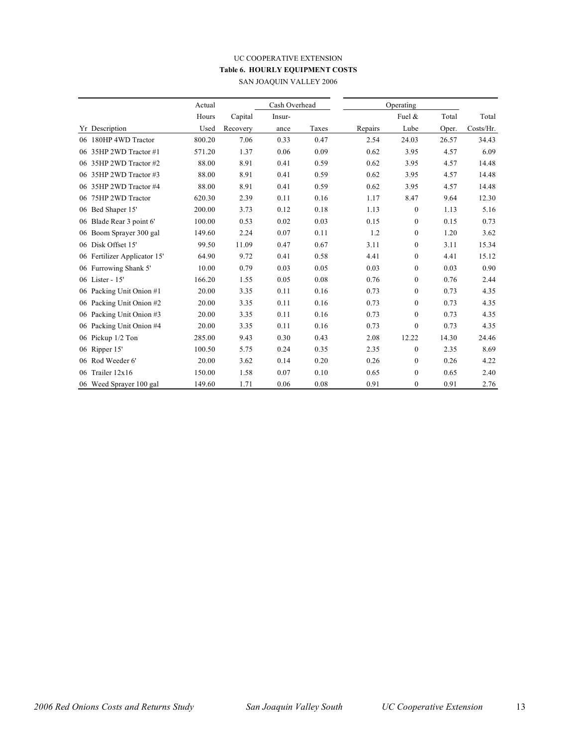# UC COOPERATIVE EXTENSION **Table 6. HOURLY EQUIPMENT COSTS**

SAN JOAQUIN VALLEY 2006

|                              | Actual |          | Cash Overhead |       |         | Operating        |       |           |
|------------------------------|--------|----------|---------------|-------|---------|------------------|-------|-----------|
|                              | Hours  | Capital  | Insur-        |       |         | Fuel &           | Total | Total     |
| Yr Description               | Used   | Recovery | ance          | Taxes | Repairs | Lube             | Oper. | Costs/Hr. |
| 06 180HP 4WD Tractor         | 800.20 | 7.06     | 0.33          | 0.47  | 2.54    | 24.03            | 26.57 | 34.43     |
| 06 35HP 2WD Tractor #1       | 571.20 | 1.37     | 0.06          | 0.09  | 0.62    | 3.95             | 4.57  | 6.09      |
| 06 35HP 2WD Tractor #2       | 88.00  | 8.91     | 0.41          | 0.59  | 0.62    | 3.95             | 4.57  | 14.48     |
| 06 35HP 2WD Tractor #3       | 88.00  | 8.91     | 0.41          | 0.59  | 0.62    | 3.95             | 4.57  | 14.48     |
| 06 35HP 2WD Tractor #4       | 88.00  | 8.91     | 0.41          | 0.59  | 0.62    | 3.95             | 4.57  | 14.48     |
| 06 75HP 2WD Tractor          | 620.30 | 2.39     | 0.11          | 0.16  | 1.17    | 8.47             | 9.64  | 12.30     |
| 06 Bed Shaper 15'            | 200.00 | 3.73     | 0.12          | 0.18  | 1.13    | $\mathbf{0}$     | 1.13  | 5.16      |
| 06 Blade Rear 3 point 6'     | 100.00 | 0.53     | 0.02          | 0.03  | 0.15    | $\boldsymbol{0}$ | 0.15  | 0.73      |
| 06 Boom Sprayer 300 gal      | 149.60 | 2.24     | 0.07          | 0.11  | 1.2     | $\mathbf{0}$     | 1.20  | 3.62      |
| 06 Disk Offset 15'           | 99.50  | 11.09    | 0.47          | 0.67  | 3.11    | $\boldsymbol{0}$ | 3.11  | 15.34     |
| 06 Fertilizer Applicator 15' | 64.90  | 9.72     | 0.41          | 0.58  | 4.41    | $\mathbf{0}$     | 4.41  | 15.12     |
| 06 Furrowing Shank 5'        | 10.00  | 0.79     | 0.03          | 0.05  | 0.03    | $\boldsymbol{0}$ | 0.03  | 0.90      |
| 06 Lister - 15'              | 166.20 | 1.55     | 0.05          | 0.08  | 0.76    | $\mathbf{0}$     | 0.76  | 2.44      |
| 06 Packing Unit Onion #1     | 20.00  | 3.35     | 0.11          | 0.16  | 0.73    | $\boldsymbol{0}$ | 0.73  | 4.35      |
| 06 Packing Unit Onion #2     | 20.00  | 3.35     | 0.11          | 0.16  | 0.73    | $\mathbf{0}$     | 0.73  | 4.35      |
| Packing Unit Onion #3<br>06  | 20.00  | 3.35     | 0.11          | 0.16  | 0.73    | $\boldsymbol{0}$ | 0.73  | 4.35      |
| 06 Packing Unit Onion #4     | 20.00  | 3.35     | 0.11          | 0.16  | 0.73    | $\mathbf{0}$     | 0.73  | 4.35      |
| 06 Pickup 1/2 Ton            | 285.00 | 9.43     | 0.30          | 0.43  | 2.08    | 12.22            | 14.30 | 24.46     |
| 06 Ripper 15'                | 100.50 | 5.75     | 0.24          | 0.35  | 2.35    | $\mathbf{0}$     | 2.35  | 8.69      |
| 06 Rod Weeder 6'             | 20.00  | 3.62     | 0.14          | 0.20  | 0.26    | $\boldsymbol{0}$ | 0.26  | 4.22      |
| 06 Trailer $12x16$           | 150.00 | 1.58     | 0.07          | 0.10  | 0.65    | $\mathbf{0}$     | 0.65  | 2.40      |
| 06 Weed Sprayer 100 gal      | 149.60 | 1.71     | 0.06          | 0.08  | 0.91    | $\mathbf{0}$     | 0.91  | 2.76      |